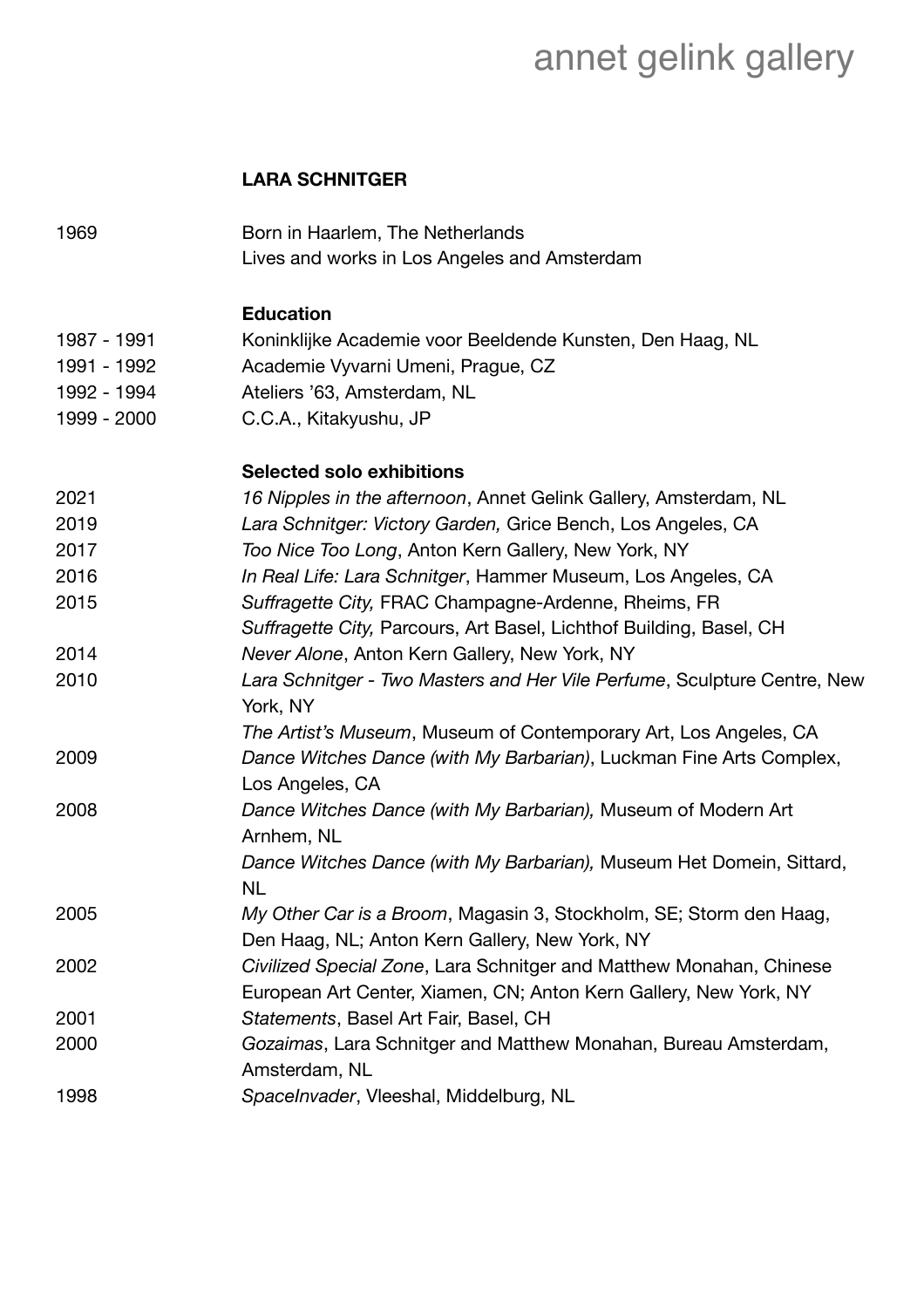## annet gelink gallery

## **LARA SCHNITGER**

| 1969        | Born in Haarlem, The Netherlands                                                     |
|-------------|--------------------------------------------------------------------------------------|
|             | Lives and works in Los Angeles and Amsterdam                                         |
|             | <b>Education</b>                                                                     |
| 1987 - 1991 | Koninklijke Academie voor Beeldende Kunsten, Den Haag, NL                            |
| 1991 - 1992 | Academie Vyvarni Umeni, Prague, CZ                                                   |
| 1992 - 1994 | Ateliers '63, Amsterdam, NL                                                          |
| 1999 - 2000 | C.C.A., Kitakyushu, JP                                                               |
|             | <b>Selected solo exhibitions</b>                                                     |
| 2021        | 16 Nipples in the afternoon, Annet Gelink Gallery, Amsterdam, NL                     |
| 2019        | Lara Schnitger: Victory Garden, Grice Bench, Los Angeles, CA                         |
| 2017        | Too Nice Too Long, Anton Kern Gallery, New York, NY                                  |
| 2016        | In Real Life: Lara Schnitger, Hammer Museum, Los Angeles, CA                         |
| 2015        | Suffragette City, FRAC Champagne-Ardenne, Rheims, FR                                 |
|             | Suffragette City, Parcours, Art Basel, Lichthof Building, Basel, CH                  |
| 2014        | Never Alone, Anton Kern Gallery, New York, NY                                        |
| 2010        | Lara Schnitger - Two Masters and Her Vile Perfume, Sculpture Centre, New<br>York, NY |
|             | The Artist's Museum, Museum of Contemporary Art, Los Angeles, CA                     |
| 2009        | Dance Witches Dance (with My Barbarian), Luckman Fine Arts Complex,                  |
|             | Los Angeles, CA                                                                      |
| 2008        | Dance Witches Dance (with My Barbarian), Museum of Modern Art<br>Arnhem, NL          |
|             | Dance Witches Dance (with My Barbarian), Museum Het Domein, Sittard,                 |
|             | <b>NL</b>                                                                            |
| 2005        | My Other Car is a Broom, Magasin 3, Stockholm, SE; Storm den Haag,                   |
|             | Den Haag, NL; Anton Kern Gallery, New York, NY                                       |
| 2002        | Civilized Special Zone, Lara Schnitger and Matthew Monahan, Chinese                  |
|             | European Art Center, Xiamen, CN; Anton Kern Gallery, New York, NY                    |
| 2001        | Statements, Basel Art Fair, Basel, CH                                                |
| 2000        | Gozaimas, Lara Schnitger and Matthew Monahan, Bureau Amsterdam,<br>Amsterdam, NL     |
| 1998        | SpaceInvader, Vleeshal, Middelburg, NL                                               |
|             |                                                                                      |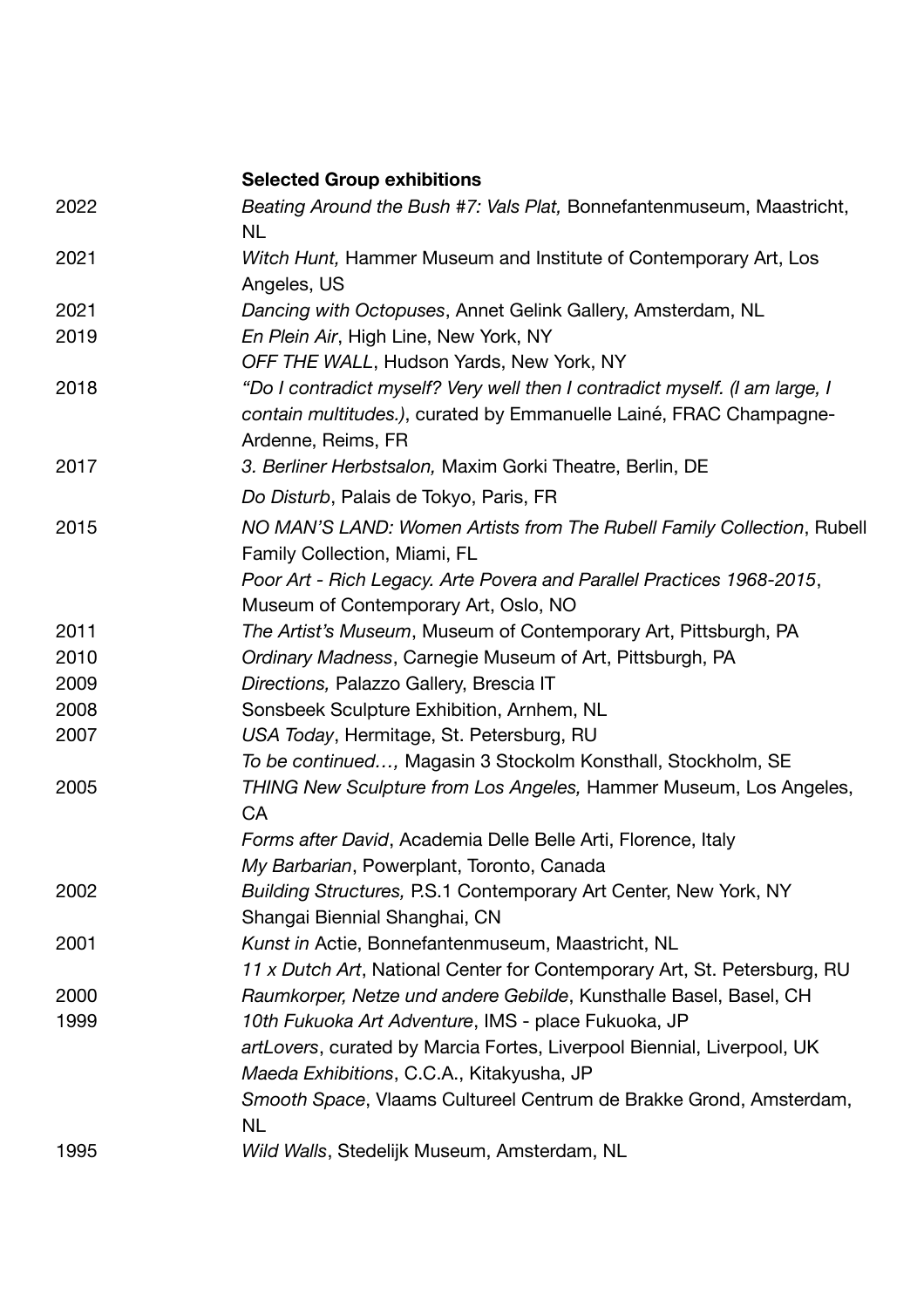|      | <b>Selected Group exhibitions</b>                                                                                                                                       |
|------|-------------------------------------------------------------------------------------------------------------------------------------------------------------------------|
| 2022 | Beating Around the Bush #7: Vals Plat, Bonnefantenmuseum, Maastricht,<br><b>NL</b>                                                                                      |
| 2021 | Witch Hunt, Hammer Museum and Institute of Contemporary Art, Los<br>Angeles, US                                                                                         |
| 2021 | Dancing with Octopuses, Annet Gelink Gallery, Amsterdam, NL                                                                                                             |
| 2019 | En Plein Air, High Line, New York, NY                                                                                                                                   |
|      | OFF THE WALL, Hudson Yards, New York, NY                                                                                                                                |
| 2018 | "Do I contradict myself? Very well then I contradict myself. (I am large, I<br>contain multitudes.), curated by Emmanuelle Lainé, FRAC Champagne-<br>Ardenne, Reims, FR |
| 2017 | 3. Berliner Herbstsalon, Maxim Gorki Theatre, Berlin, DE                                                                                                                |
|      | Do Disturb, Palais de Tokyo, Paris, FR                                                                                                                                  |
| 2015 | NO MAN'S LAND: Women Artists from The Rubell Family Collection, Rubell<br>Family Collection, Miami, FL                                                                  |
|      | Poor Art - Rich Legacy. Arte Povera and Parallel Practices 1968-2015,                                                                                                   |
|      | Museum of Contemporary Art, Oslo, NO                                                                                                                                    |
| 2011 | The Artist's Museum, Museum of Contemporary Art, Pittsburgh, PA                                                                                                         |
| 2010 | Ordinary Madness, Carnegie Museum of Art, Pittsburgh, PA                                                                                                                |
| 2009 | Directions, Palazzo Gallery, Brescia IT                                                                                                                                 |
| 2008 | Sonsbeek Sculpture Exhibition, Arnhem, NL                                                                                                                               |
| 2007 | USA Today, Hermitage, St. Petersburg, RU                                                                                                                                |
|      | To be continued, Magasin 3 Stockolm Konsthall, Stockholm, SE                                                                                                            |
| 2005 | THING New Sculpture from Los Angeles, Hammer Museum, Los Angeles,<br><b>CA</b>                                                                                          |
|      | Forms after David, Academia Delle Belle Arti, Florence, Italy                                                                                                           |
|      | My Barbarian, Powerplant, Toronto, Canada                                                                                                                               |
| 2002 | Building Structures, P.S.1 Contemporary Art Center, New York, NY                                                                                                        |
|      | Shangai Biennial Shanghai, CN                                                                                                                                           |
| 2001 | Kunst in Actie, Bonnefantenmuseum, Maastricht, NL                                                                                                                       |
|      | 11 x Dutch Art, National Center for Contemporary Art, St. Petersburg, RU                                                                                                |
| 2000 | Raumkorper, Netze und andere Gebilde, Kunsthalle Basel, Basel, CH                                                                                                       |
| 1999 | 10th Fukuoka Art Adventure, IMS - place Fukuoka, JP                                                                                                                     |
|      | artLovers, curated by Marcia Fortes, Liverpool Biennial, Liverpool, UK<br>Maeda Exhibitions, C.C.A., Kitakyusha, JP                                                     |
|      | Smooth Space, Vlaams Cultureel Centrum de Brakke Grond, Amsterdam,<br><b>NL</b>                                                                                         |
| 1995 | Wild Walls, Stedelijk Museum, Amsterdam, NL                                                                                                                             |
|      |                                                                                                                                                                         |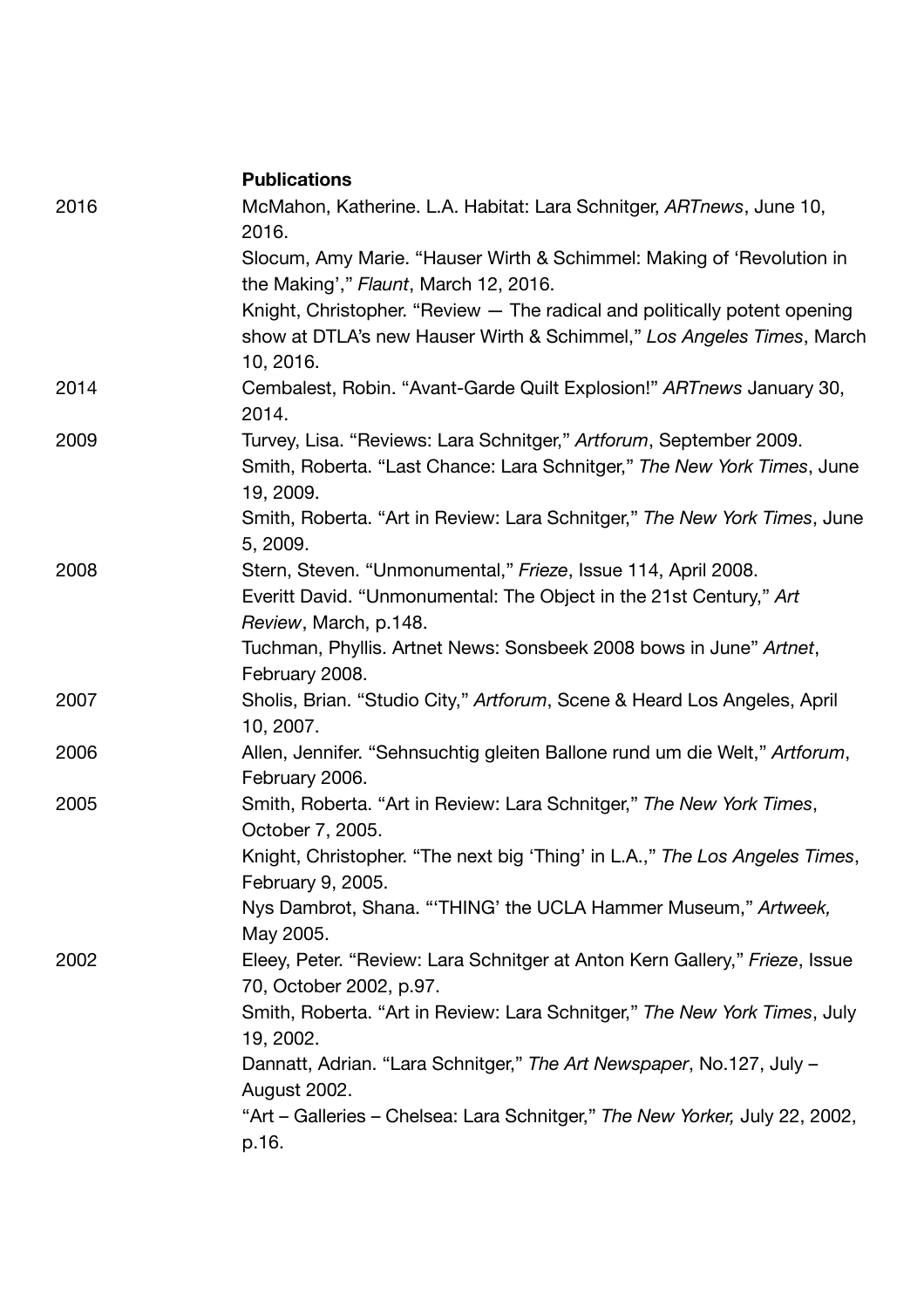|      | <b>Publications</b>                                                                                            |
|------|----------------------------------------------------------------------------------------------------------------|
| 2016 | McMahon, Katherine. L.A. Habitat: Lara Schnitger, ARTnews, June 10,<br>2016.                                   |
|      | Slocum, Amy Marie. "Hauser Wirth & Schimmel: Making of 'Revolution in<br>the Making'," Flaunt, March 12, 2016. |
|      | Knight, Christopher. "Review - The radical and politically potent opening                                      |
|      | show at DTLA's new Hauser Wirth & Schimmel," Los Angeles Times, March<br>10, 2016.                             |
| 2014 | Cembalest, Robin. "Avant-Garde Quilt Explosion!" ARTnews January 30,<br>2014.                                  |
| 2009 | Turvey, Lisa. "Reviews: Lara Schnitger," Artforum, September 2009.                                             |
|      | Smith, Roberta. "Last Chance: Lara Schnitger," The New York Times, June<br>19, 2009.                           |
|      | Smith, Roberta. "Art in Review: Lara Schnitger," The New York Times, June<br>5, 2009.                          |
| 2008 | Stern, Steven. "Unmonumental," Frieze, Issue 114, April 2008.                                                  |
|      | Everitt David. "Unmonumental: The Object in the 21st Century," Art                                             |
|      | Review, March, p.148.                                                                                          |
|      | Tuchman, Phyllis. Artnet News: Sonsbeek 2008 bows in June" Artnet,                                             |
|      | February 2008.                                                                                                 |
| 2007 | Sholis, Brian. "Studio City," Artforum, Scene & Heard Los Angeles, April<br>10, 2007.                          |
| 2006 | Allen, Jennifer. "Sehnsuchtig gleiten Ballone rund um die Welt," Artforum,<br>February 2006.                   |
| 2005 | Smith, Roberta. "Art in Review: Lara Schnitger," The New York Times,<br>October 7, 2005.                       |
|      | Knight, Christopher. "The next big 'Thing' in L.A.," The Los Angeles Times,<br>February 9, 2005.               |
|      | Nys Dambrot, Shana. "'THING' the UCLA Hammer Museum," Artweek,                                                 |
|      | May 2005.                                                                                                      |
| 2002 | Eleey, Peter. "Review: Lara Schnitger at Anton Kern Gallery," Frieze, Issue<br>70, October 2002, p.97.         |
|      | Smith, Roberta. "Art in Review: Lara Schnitger," The New York Times, July                                      |
|      | 19, 2002.                                                                                                      |
|      | Dannatt, Adrian. "Lara Schnitger," The Art Newspaper, No.127, July -                                           |
|      | August 2002.                                                                                                   |
|      | "Art – Galleries – Chelsea: Lara Schnitger," The New Yorker, July 22, 2002,                                    |
|      | p.16.                                                                                                          |